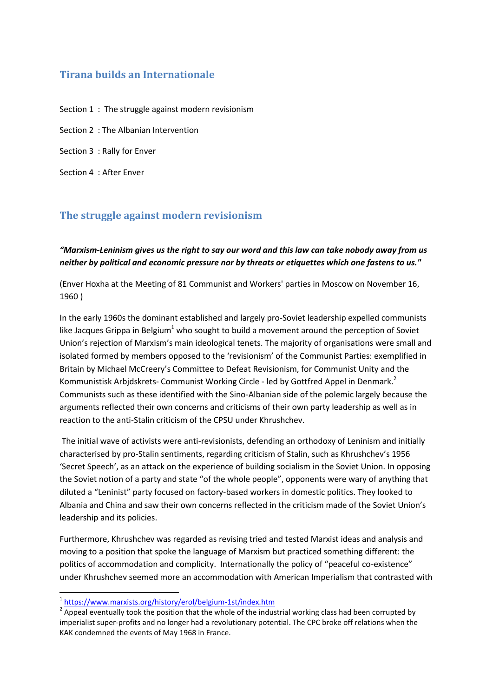## **Tirana builds an Internationale**

Section 1 : The struggle against modern revisionism

Section 2 : The Albanian Intervention

Section 3 : Rally for Enver

Section 4 : After Enver

## **The struggle against modern revisionism**

*"Marxism-Leninism gives us the right to say our word and this law can take nobody away from us neither by political and economic pressure nor by threats or etiquettes which one fastens to us."*

(Enver Hoxha at the Meeting of 81 Communist and Workers' parties in Moscow on November 16, 1960 )

In the early 1960s the dominant established and largely pro-Soviet leadership expelled communists like Jacques Grippa in Belgium<sup>1</sup> who sought to build a movement around the perception of Soviet Union's rejection of Marxism's main ideological tenets. The majority of organisations were small and isolated formed by members opposed to the 'revisionism' of the Communist Parties: exemplified in Britain by Michael McCreery's Committee to Defeat Revisionism, for Communist Unity and the Kommunistisk Arbjdskrets- Communist Working Circle - led by Gottfred Appel in Denmark.<sup>2</sup> Communists such as these identified with the Sino-Albanian side of the polemic largely because the arguments reflected their own concerns and criticisms of their own party leadership as well as in reaction to the anti-Stalin criticism of the CPSU under Khrushchev.

The initial wave of activists were anti-revisionists, defending an orthodoxy of Leninism and initially characterised by pro-Stalin sentiments, regarding criticism of Stalin, such as Khrushchev's 1956 'Secret Speech', as an attack on the experience of building socialism in the Soviet Union. In opposing the Soviet notion of a party and state "of the whole people", opponents were wary of anything that diluted a "Leninist" party focused on factory-based workers in domestic politics. They looked to Albania and China and saw their own concerns reflected in the criticism made of the Soviet Union's leadership and its policies.

Furthermore, Khrushchev was regarded as revising tried and tested Marxist ideas and analysis and moving to a position that spoke the language of Marxism but practiced something different: the politics of accommodation and complicity. Internationally the policy of "peaceful co-existence" under Khrushchev seemed more an accommodation with American Imperialism that contrasted with

<sup>&</sup>lt;sup>1</sup><https://www.marxists.org/history/erol/belgium-1st/index.htm>

 $2$  Appeal eventually took the position that the whole of the industrial working class had been corrupted by imperialist super-profits and no longer had a revolutionary potential. The CPC broke off relations when the KAK condemned the events of May 1968 in France.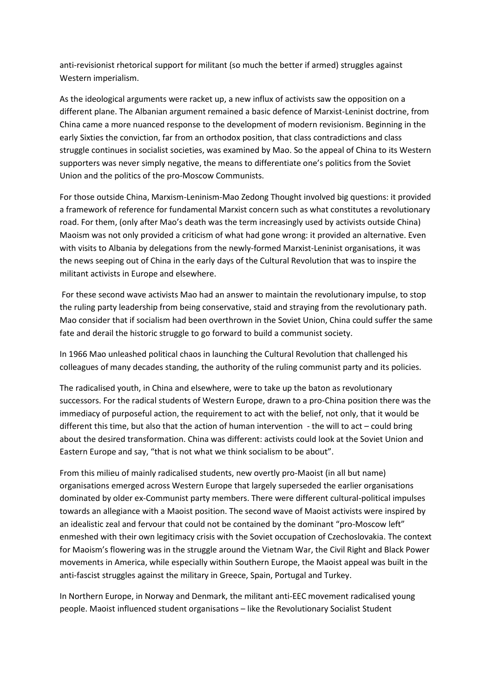anti-revisionist rhetorical support for militant (so much the better if armed) struggles against Western imperialism.

As the ideological arguments were racket up, a new influx of activists saw the opposition on a different plane. The Albanian argument remained a basic defence of Marxist-Leninist doctrine, from China came a more nuanced response to the development of modern revisionism. Beginning in the early Sixties the conviction, far from an orthodox position, that class contradictions and class struggle continues in socialist societies, was examined by Mao. So the appeal of China to its Western supporters was never simply negative, the means to differentiate one's politics from the Soviet Union and the politics of the pro-Moscow Communists.

For those outside China, Marxism-Leninism-Mao Zedong Thought involved big questions: it provided a framework of reference for fundamental Marxist concern such as what constitutes a revolutionary road. For them, (only after Mao's death was the term increasingly used by activists outside China) Maoism was not only provided a criticism of what had gone wrong: it provided an alternative. Even with visits to Albania by delegations from the newly-formed Marxist-Leninist organisations, it was the news seeping out of China in the early days of the Cultural Revolution that was to inspire the militant activists in Europe and elsewhere.

For these second wave activists Mao had an answer to maintain the revolutionary impulse, to stop the ruling party leadership from being conservative, staid and straying from the revolutionary path. Mao consider that if socialism had been overthrown in the Soviet Union, China could suffer the same fate and derail the historic struggle to go forward to build a communist society.

In 1966 Mao unleashed political chaos in launching the Cultural Revolution that challenged his colleagues of many decades standing, the authority of the ruling communist party and its policies.

The radicalised youth, in China and elsewhere, were to take up the baton as revolutionary successors. For the radical students of Western Europe, drawn to a pro-China position there was the immediacy of purposeful action, the requirement to act with the belief, not only, that it would be different this time, but also that the action of human intervention - the will to act – could bring about the desired transformation. China was different: activists could look at the Soviet Union and Eastern Europe and say, "that is not what we think socialism to be about".

From this milieu of mainly radicalised students, new overtly pro-Maoist (in all but name) organisations emerged across Western Europe that largely superseded the earlier organisations dominated by older ex-Communist party members. There were different cultural-political impulses towards an allegiance with a Maoist position. The second wave of Maoist activists were inspired by an idealistic zeal and fervour that could not be contained by the dominant "pro-Moscow left" enmeshed with their own legitimacy crisis with the Soviet occupation of Czechoslovakia. The context for Maoism's flowering was in the struggle around the Vietnam War, the Civil Right and Black Power movements in America, while especially within Southern Europe, the Maoist appeal was built in the anti-fascist struggles against the military in Greece, Spain, Portugal and Turkey.

In Northern Europe, in Norway and Denmark, the militant anti-EEC movement radicalised young people. Maoist influenced student organisations – like the Revolutionary Socialist Student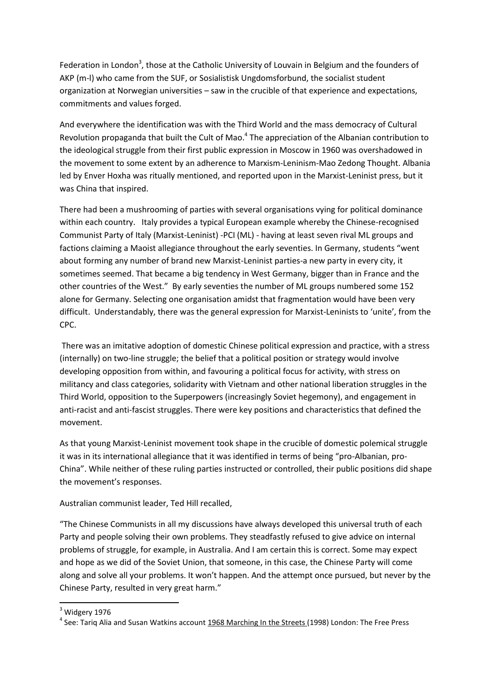Federation in London<sup>3</sup>, those at the Catholic University of Louvain in Belgium and the founders of AKP (m-l) who came from the SUF, or Sosialistisk Ungdomsforbund, the socialist student organization at Norwegian universities – saw in the crucible of that experience and expectations, commitments and values forged.

And everywhere the identification was with the Third World and the mass democracy of Cultural Revolution propaganda that built the Cult of Mao.<sup>4</sup> The appreciation of the Albanian contribution to the ideological struggle from their first public expression in Moscow in 1960 was overshadowed in the movement to some extent by an adherence to Marxism-Leninism-Mao Zedong Thought. Albania led by Enver Hoxha was ritually mentioned, and reported upon in the Marxist-Leninist press, but it was China that inspired.

There had been a mushrooming of parties with several organisations vying for political dominance within each country. Italy provides a typical European example whereby the Chinese-recognised Communist Party of Italy (Marxist-Leninist) -PCI (ML) - having at least seven rival ML groups and factions claiming a Maoist allegiance throughout the early seventies. In Germany, students "went about forming any number of brand new Marxist-Leninist parties-a new party in every city, it sometimes seemed. That became a big tendency in West Germany, bigger than in France and the other countries of the West." By early seventies the number of ML groups numbered some 152 alone for Germany. Selecting one organisation amidst that fragmentation would have been very difficult. Understandably, there was the general expression for Marxist-Leninists to 'unite', from the CPC.

There was an imitative adoption of domestic Chinese political expression and practice, with a stress (internally) on two-line struggle; the belief that a political position or strategy would involve developing opposition from within, and favouring a political focus for activity, with stress on militancy and class categories, solidarity with Vietnam and other national liberation struggles in the Third World, opposition to the Superpowers (increasingly Soviet hegemony), and engagement in anti-racist and anti-fascist struggles. There were key positions and characteristics that defined the movement.

As that young Marxist-Leninist movement took shape in the crucible of domestic polemical struggle it was in its international allegiance that it was identified in terms of being "pro-Albanian, pro-China". While neither of these ruling parties instructed or controlled, their public positions did shape the movement's responses.

Australian communist leader, Ted Hill recalled,

"The Chinese Communists in all my discussions have always developed this universal truth of each Party and people solving their own problems. They steadfastly refused to give advice on internal problems of struggle, for example, in Australia. And I am certain this is correct. Some may expect and hope as we did of the Soviet Union, that someone, in this case, the Chinese Party will come along and solve all your problems. It won't happen. And the attempt once pursued, but never by the Chinese Party, resulted in very great harm."

 $3$  Widgery 1976

<sup>&</sup>lt;sup>4</sup> See: Tariq Alia and Susan Watkins account 1968 Marching In the Streets (1998) London: The Free Press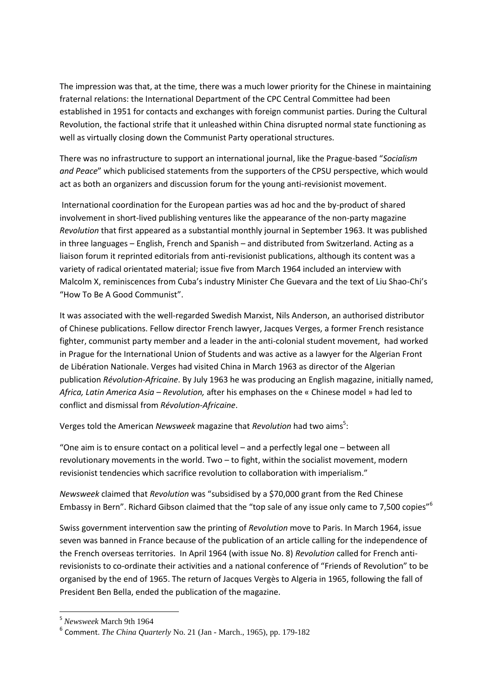The impression was that, at the time, there was a much lower priority for the Chinese in maintaining fraternal relations: the International Department of the CPC Central Committee had been established in 1951 for contacts and exchanges with foreign communist parties. During the Cultural Revolution, the factional strife that it unleashed within China disrupted normal state functioning as well as virtually closing down the Communist Party operational structures.

There was no infrastructure to support an international journal, like the Prague-based "*Socialism and Peace*" which publicised statements from the supporters of the CPSU perspective, which would act as both an organizers and discussion forum for the young anti-revisionist movement.

International coordination for the European parties was ad hoc and the by-product of shared involvement in short-lived publishing ventures like the appearance of the non-party magazine *Revolution* that first appeared as a substantial monthly journal in September 1963. It was published in three languages – English, French and Spanish – and distributed from Switzerland. Acting as a liaison forum it reprinted editorials from anti-revisionist publications, although its content was a variety of radical orientated material; issue five from March 1964 included an interview with Malcolm X, reminiscences from Cuba's industry Minister Che Guevara and the text of Liu Shao-Chi's "How To Be A Good Communist".

It was associated with the well-regarded Swedish Marxist, Nils Anderson, an authorised distributor of Chinese publications. Fellow director French lawyer, Jacques Verges, a former French resistance fighter, communist party member and a leader in the anti-colonial student movement, had worked in Prague for the International Union of Students and was active as a lawyer for the Algerian Front de Libération Nationale. Verges had visited China in March 1963 as director of the Algerian publication *Révolution-Africaine*. By July 1963 he was producing an English magazine, initially named, *Africa, Latin America Asia – Revolution,* after his emphases on the « Chinese model » had led to conflict and dismissal from *Révolution-Africaine*.

Verges told the American *Newsweek* magazine that *Revolution* had two aims<sup>5</sup>:

"One aim is to ensure contact on a political level – and a perfectly legal one – between all revolutionary movements in the world. Two – to fight, within the socialist movement, modern revisionist tendencies which sacrifice revolution to collaboration with imperialism."

*Newsweek* claimed that *Revolution* was "subsidised by a \$70,000 grant from the Red Chinese Embassy in Bern". Richard Gibson claimed that the "top sale of any issue only came to 7,500 copies"<sup>6</sup>

Swiss government intervention saw the printing of *Revolution* move to Paris. In March 1964, issue seven was banned in France because of the publication of an article calling for the independence of the French overseas territories. In April 1964 (with issue No. 8) *Revolution* called for French antirevisionists to co-ordinate their activities and a national conference of "Friends of Revolution" to be organised by the end of 1965. The return of Jacques Vergès to Algeria in 1965, following the fall of President Ben Bella, ended the publication of the magazine.

<sup>5</sup> *Newsweek* March 9th 1964

<sup>6</sup> Comment. *The China Quarterly* No. 21 (Jan - March., 1965), pp. 179-182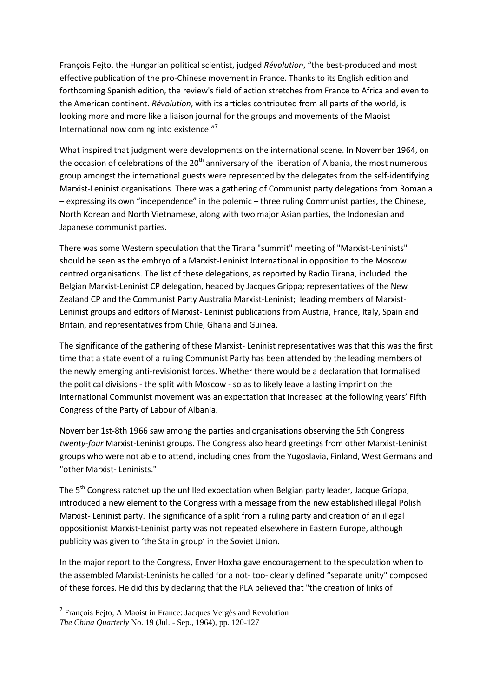François Fejto, the Hungarian political scientist, judged *Révolution*, "the best-produced and most effective publication of the pro-Chinese movement in France. Thanks to its English edition and forthcoming Spanish edition, the review's field of action stretches from France to Africa and even to the American continent. *Révolution*, with its articles contributed from all parts of the world, is looking more and more like a liaison journal for the groups and movements of the Maoist International now coming into existence."<sup>7</sup>

What inspired that judgment were developments on the international scene. In November 1964, on the occasion of celebrations of the 20<sup>th</sup> anniversary of the liberation of Albania, the most numerous group amongst the international guests were represented by the delegates from the self-identifying Marxist-Leninist organisations. There was a gathering of Communist party delegations from Romania – expressing its own "independence" in the polemic – three ruling Communist parties, the Chinese, North Korean and North Vietnamese, along with two major Asian parties, the Indonesian and Japanese communist parties.

There was some Western speculation that the Tirana "summit" meeting of "Marxist-Leninists" should be seen as the embryo of a Marxist-Leninist International in opposition to the Moscow centred organisations. The list of these delegations, as reported by Radio Tirana, included the Belgian Marxist-Leninist CP delegation, headed by Jacques Grippa; representatives of the New Zealand CP and the Communist Party Australia Marxist-Leninist; leading members of Marxist-Leninist groups and editors of Marxist- Leninist publications from Austria, France, Italy, Spain and Britain, and representatives from Chile, Ghana and Guinea.

The significance of the gathering of these Marxist- Leninist representatives was that this was the first time that a state event of a ruling Communist Party has been attended by the leading members of the newly emerging anti-revisionist forces. Whether there would be a declaration that formalised the political divisions - the split with Moscow - so as to likely leave a lasting imprint on the international Communist movement was an expectation that increased at the following years' Fifth Congress of the Party of Labour of Albania.

November 1st-8th 1966 saw among the parties and organisations observing the 5th Congress *twenty-four* Marxist-Leninist groups. The Congress also heard greetings from other Marxist-Leninist groups who were not able to attend, including ones from the Yugoslavia, Finland, West Germans and "other Marxist- Leninists."

The 5<sup>th</sup> Congress ratchet up the unfilled expectation when Belgian party leader, Jacque Grippa, introduced a new element to the Congress with a message from the new established illegal Polish Marxist- Leninist party. The significance of a split from a ruling party and creation of an illegal oppositionist Marxist-Leninist party was not repeated elsewhere in Eastern Europe, although publicity was given to 'the Stalin group' in the Soviet Union.

In the major report to the Congress, Enver Hoxha gave encouragement to the speculation when to the assembled Marxist-Leninists he called for a not- too- clearly defined "separate unity" composed of these forces. He did this by declaring that the PLA believed that "the creation of links of

<sup>&</sup>lt;sup>7</sup> François Fejto, A Maoist in France: Jacques Vergès and Revolution

*The China Quarterly* No. 19 (Jul. - Sep., 1964), pp. 120-127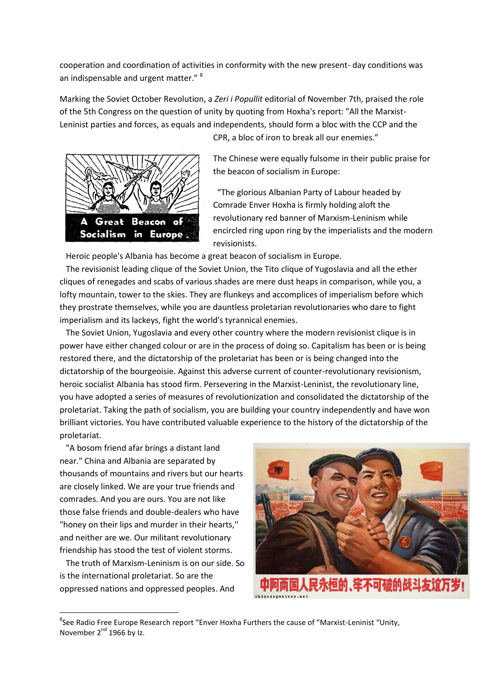cooperation and coordination of activities in conformity with the new present- day conditions was an indispensable and urgent matter." <sup>8</sup>

Marking the Soviet October Revolution, a *Zeri i Popullit* editorial of November 7th, praised the role of the 5th Congress on the question of unity by quoting from Hoxha's report: "All the Marxist-Leninist parties and forces, as equals and independents, should form a bloc with the CCP and the



CPR, a bloc of iron to break all our enemies."

The Chinese were equally fulsome in their public praise for the beacon of socialism in Europe:

 "The glorious Albanian Party of Labour headed by Comrade Enver Hoxha is firmly holding aloft the revolutionary red banner of Marxism-Leninism while encircled ring upon ring by the imperialists and the modern revisionists.

Heroic people's Albania has become a great beacon of socialism in Europe.

 The revisionist leading clique of the Soviet Union, the Tito clique of Yugoslavia and all the ether cliques of renegades and scabs of various shades are mere dust heaps in comparison, while you, a lofty mountain, tower to the skies. They are flunkeys and accomplices of imperialism before which they prostrate themselves, while you are dauntless proletarian revolutionaries who dare to fight imperialism and its lackeys, fight the world's tyrannical enemies.

 The Soviet Union, Yugoslavia and every other country where the modern revisionist clique is in power have either changed colour or are in the process of doing so. Capitalism has been or is being restored there, and the dictatorship of the proletariat has been or is being changed into the dictatorship of the bourgeoisie. Against this adverse current of counter-revolutionary revisionism, heroic socialist Albania has stood firm. Persevering in the Marxist-Leninist, the revolutionary line, you have adopted a series of measures of revolutionization and consolidated the dictatorship of the proletariat. Taking the path of socialism, you are building your country independently and have won brilliant victories. You have contributed valuable experience to the history of the dictatorship of the proletariat.

 "A bosom friend afar brings a distant land near." China and Albania are separated by thousands of mountains and rivers but our hearts are closely linked. We are your true friends and comrades. And you are ours. You are not like those false friends and double-dealers who have "honey on their lips and murder in their hearts,'' and neither are we. Our militant revolutionary friendship has stood the test of violent storms.

 The truth of Marxism-Leninism is on our side. So is the international proletariat. So are the oppressed nations and oppressed peoples. And



<sup>&</sup>lt;sup>8</sup>See Radio Free Europe Research report "Enver Hoxha Furthers the cause of "Marxist-Leninist "Unity, November 2<sup>nd</sup> 1966 by Iz.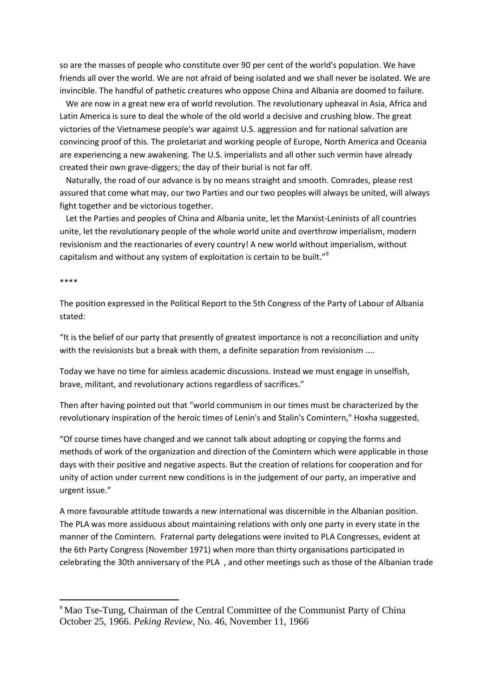so are the masses of people who constitute over 90 per cent of the world's population. We have friends all over the world. We are not afraid of being isolated and we shall never be isolated. We are invincible. The handful of pathetic creatures who oppose China and Albania are doomed to failure.

 We are now in a great new era of world revolution. The revolutionary upheaval in Asia, Africa and Latin America is sure to deal the whole of the old world a decisive and crushing blow. The great victories of the Vietnamese people's war against U.S. aggression and for national salvation are convincing proof of this. The proletariat and working people of Europe, North America and Oceania are experiencing a new awakening. The U.S. imperialists and all other such vermin have already created their own grave-diggers; the day of their burial is not far off.

 Naturally, the road of our advance is by no means straight and smooth. Comrades, please rest assured that come what may, our two Parties and our two peoples will always be united, will always fight together and be victorious together.

 Let the Parties and peoples of China and Albania unite, let the Marxist-Leninists of all countries unite, let the revolutionary people of the whole world unite and overthrow imperialism, modern revisionism and the reactionaries of every country! A new world without imperialism, without capitalism and without any system of exploitation is certain to be built."<sup>9</sup>

## \*\*\*\*

**.** 

The position expressed in the Political Report to the 5th Congress of the Party of Labour of Albania stated:

"It is the belief of our party that presently of greatest importance is not a reconciliation and unity with the revisionists but a break with them, a definite separation from revisionism ....

Today we have no time for aimless academic discussions. Instead we must engage in unselfish, brave, militant, and revolutionary actions regardless of sacrifices."

Then after having pointed out that "world communism in our times must be characterized by the revolutionary inspiration of the heroic times of Lenin's and Stalin's Comintern," Hoxha suggested,

"Of course times have changed and we cannot talk about adopting or copying the forms and methods of work of the organization and direction of the Comintern which were applicable in those days with their positive and negative aspects. But the creation of relations for cooperation and for unity of action under current new conditions is in the judgement of our party, an imperative and urgent issue."

A more favourable attitude towards a new international was discernible in the Albanian position. The PLA was more assiduous about maintaining relations with only one party in every state in the manner of the Comintern. Fraternal party delegations were invited to PLA Congresses, evident at the 6th Party Congress (November 1971) when more than thirty organisations participated in celebrating the 30th anniversary of the PLA , and other meetings such as those of the Albanian trade

<sup>9</sup> Mao Tse-Tung, Chairman of the Central Committee of the Communist Party of China October 25, 1966. *Peking Review*, No. 46, November 11, 1966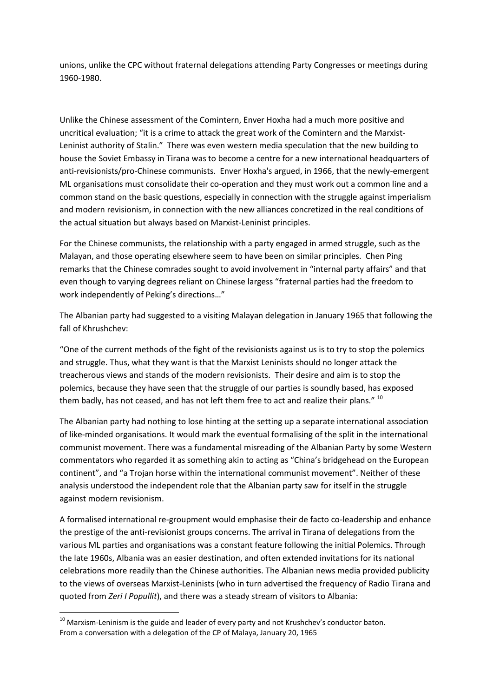unions, unlike the CPC without fraternal delegations attending Party Congresses or meetings during 1960-1980.

Unlike the Chinese assessment of the Comintern, Enver Hoxha had a much more positive and uncritical evaluation; "it is a crime to attack the great work of the Comintern and the Marxist-Leninist authority of Stalin." There was even western media speculation that the new building to house the Soviet Embassy in Tirana was to become a centre for a new international headquarters of anti-revisionists/pro-Chinese communists. Enver Hoxha's argued, in 1966, that the newly-emergent ML organisations must consolidate their co-operation and they must work out a common line and a common stand on the basic questions, especially in connection with the struggle against imperialism and modern revisionism, in connection with the new alliances concretized in the real conditions of the actual situation but always based on Marxist-Leninist principles.

For the Chinese communists, the relationship with a party engaged in armed struggle, such as the Malayan, and those operating elsewhere seem to have been on similar principles. Chen Ping remarks that the Chinese comrades sought to avoid involvement in "internal party affairs" and that even though to varying degrees reliant on Chinese largess "fraternal parties had the freedom to work independently of Peking's directions…"

The Albanian party had suggested to a visiting Malayan delegation in January 1965 that following the fall of Khrushchev:

"One of the current methods of the fight of the revisionists against us is to try to stop the polemics and struggle. Thus, what they want is that the Marxist Leninists should no longer attack the treacherous views and stands of the modern revisionists. Their desire and aim is to stop the polemics, because they have seen that the struggle of our parties is soundly based, has exposed them badly, has not ceased, and has not left them free to act and realize their plans." 10

The Albanian party had nothing to lose hinting at the setting up a separate international association of like-minded organisations. It would mark the eventual formalising of the split in the international communist movement. There was a fundamental misreading of the Albanian Party by some Western commentators who regarded it as something akin to acting as "China's bridgehead on the European continent", and "a Trojan horse within the international communist movement". Neither of these analysis understood the independent role that the Albanian party saw for itself in the struggle against modern revisionism.

A formalised international re-groupment would emphasise their de facto co-leadership and enhance the prestige of the anti-revisionist groups concerns. The arrival in Tirana of delegations from the various ML parties and organisations was a constant feature following the initial Polemics. Through the late 1960s, Albania was an easier destination, and often extended invitations for its national celebrations more readily than the Chinese authorities. The Albanian news media provided publicity to the views of overseas Marxist-Leninists (who in turn advertised the frequency of Radio Tirana and quoted from *Zeri I Popullit*), and there was a steady stream of visitors to Albania:

 $^{10}$  Marxism-Leninism is the guide and leader of every party and not Krushchev's conductor baton. From a conversation with a delegation of the CP of Malaya, January 20, 1965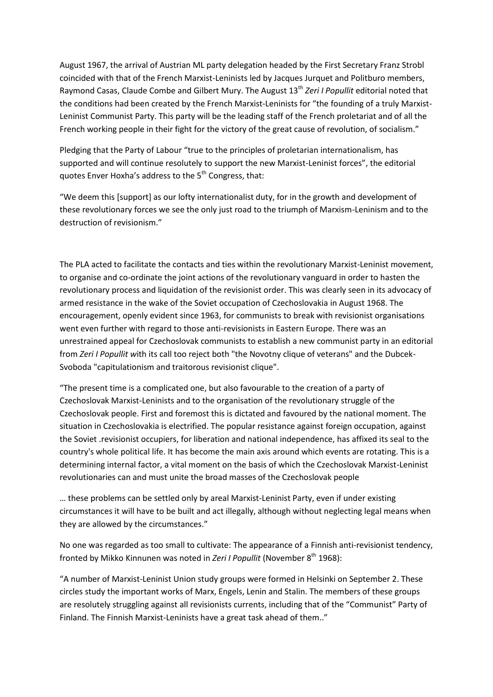August 1967, the arrival of Austrian ML party delegation headed by the First Secretary Franz Strobl coincided with that of the French Marxist-Leninists led by Jacques Jurquet and Politburo members, Raymond Casas, Claude Combe and Gilbert Mury. The August 13<sup>th</sup> Zeri I Popullit editorial noted that the conditions had been created by the French Marxist-Leninists for "the founding of a truly Marxist-Leninist Communist Party. This party will be the leading staff of the French proletariat and of all the French working people in their fight for the victory of the great cause of revolution, of socialism."

Pledging that the Party of Labour "true to the principles of proletarian internationalism, has supported and will continue resolutely to support the new Marxist-Leninist forces", the editorial quotes Enver Hoxha's address to the 5<sup>th</sup> Congress, that:

"We deem this [support] as our lofty internationalist duty, for in the growth and development of these revolutionary forces we see the only just road to the triumph of Marxism-Leninism and to the destruction of revisionism."

The PLA acted to facilitate the contacts and ties within the revolutionary Marxist-Leninist movement, to organise and co-ordinate the joint actions of the revolutionary vanguard in order to hasten the revolutionary process and liquidation of the revisionist order. This was clearly seen in its advocacy of armed resistance in the wake of the Soviet occupation of Czechoslovakia in August 1968. The encouragement, openly evident since 1963, for communists to break with revisionist organisations went even further with regard to those anti-revisionists in Eastern Europe. There was an unrestrained appeal for Czechoslovak communists to establish a new communist party in an editorial from *Zeri I Popullit w*ith its call too reject both "the Novotny clique of veterans" and the Dubcek-Svoboda "capitulationism and traitorous revisionist clique".

"The present time is a complicated one, but also favourable to the creation of a party of Czechoslovak Marxist-Leninists and to the organisation of the revolutionary struggle of the Czechoslovak people. First and foremost this is dictated and favoured by the national moment. The situation in Czechoslovakia is electrified. The popular resistance against foreign occupation, against the Soviet .revisionist occupiers, for liberation and national independence, has affixed its seal to the country's whole political life. It has become the main axis around which events are rotating. This is a determining internal factor, a vital moment on the basis of which the Czechoslovak Marxist-Leninist revolutionaries can and must unite the broad masses of the Czechoslovak people

… these problems can be settled only by areal Marxist-Leninist Party, even if under existing circumstances it will have to be built and act illegally, although without neglecting legal means when they are allowed by the circumstances."

No one was regarded as too small to cultivate: The appearance of a Finnish anti-revisionist tendency, fronted by Mikko Kinnunen was noted in *Zeri I Popullit* (November 8<sup>th</sup> 1968):

"A number of Marxist-Leninist Union study groups were formed in Helsinki on September 2. These circles study the important works of Marx, Engels, Lenin and Stalin. The members of these groups are resolutely struggling against all revisionists currents, including that of the "Communist" Party of Finland. The Finnish Marxist-Leninists have a great task ahead of them.."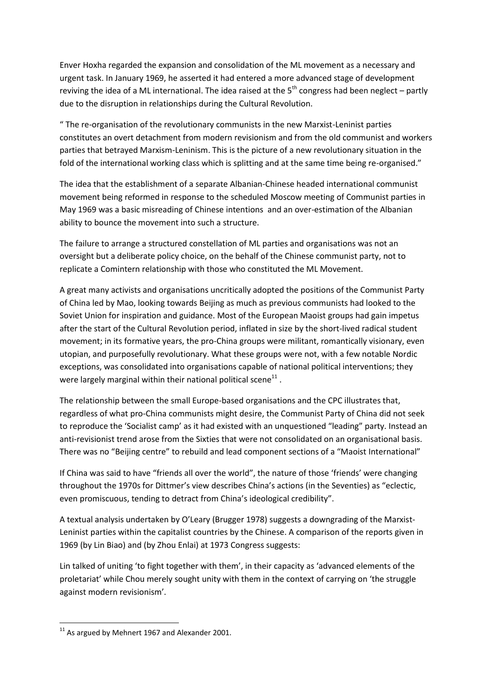Enver Hoxha regarded the expansion and consolidation of the ML movement as a necessary and urgent task. In January 1969, he asserted it had entered a more advanced stage of development reviving the idea of a ML international. The idea raised at the  $5<sup>th</sup>$  congress had been neglect – partly due to the disruption in relationships during the Cultural Revolution.

" The re-organisation of the revolutionary communists in the new Marxist-Leninist parties constitutes an overt detachment from modern revisionism and from the old communist and workers parties that betrayed Marxism-Leninism. This is the picture of a new revolutionary situation in the fold of the international working class which is splitting and at the same time being re-organised."

The idea that the establishment of a separate Albanian-Chinese headed international communist movement being reformed in response to the scheduled Moscow meeting of Communist parties in May 1969 was a basic misreading of Chinese intentions and an over-estimation of the Albanian ability to bounce the movement into such a structure.

The failure to arrange a structured constellation of ML parties and organisations was not an oversight but a deliberate policy choice, on the behalf of the Chinese communist party, not to replicate a Comintern relationship with those who constituted the ML Movement.

A great many activists and organisations uncritically adopted the positions of the Communist Party of China led by Mao, looking towards Beijing as much as previous communists had looked to the Soviet Union for inspiration and guidance. Most of the European Maoist groups had gain impetus after the start of the Cultural Revolution period, inflated in size by the short-lived radical student movement; in its formative years, the pro-China groups were militant, romantically visionary, even utopian, and purposefully revolutionary. What these groups were not, with a few notable Nordic exceptions, was consolidated into organisations capable of national political interventions; they were largely marginal within their national political scene $^{11}$ .

The relationship between the small Europe-based organisations and the CPC illustrates that, regardless of what pro-China communists might desire, the Communist Party of China did not seek to reproduce the 'Socialist camp' as it had existed with an unquestioned "leading" party. Instead an anti-revisionist trend arose from the Sixties that were not consolidated on an organisational basis. There was no "Beijing centre" to rebuild and lead component sections of a "Maoist International"

If China was said to have "friends all over the world", the nature of those 'friends' were changing throughout the 1970s for Dittmer's view describes China's actions (in the Seventies) as "eclectic, even promiscuous, tending to detract from China's ideological credibility".

A textual analysis undertaken by O'Leary (Brugger 1978) suggests a downgrading of the Marxist-Leninist parties within the capitalist countries by the Chinese. A comparison of the reports given in 1969 (by Lin Biao) and (by Zhou Enlai) at 1973 Congress suggests:

Lin talked of uniting 'to fight together with them', in their capacity as 'advanced elements of the proletariat' while Chou merely sought unity with them in the context of carrying on 'the struggle against modern revisionism'.

**<sup>.</sup>**  $11$  As argued by Mehnert 1967 and Alexander 2001.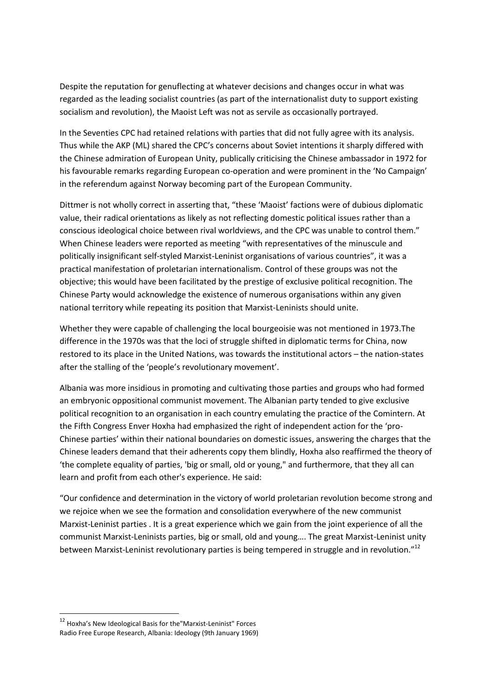Despite the reputation for genuflecting at whatever decisions and changes occur in what was regarded as the leading socialist countries (as part of the internationalist duty to support existing socialism and revolution), the Maoist Left was not as servile as occasionally portrayed.

In the Seventies CPC had retained relations with parties that did not fully agree with its analysis. Thus while the AKP (ML) shared the CPC's concerns about Soviet intentions it sharply differed with the Chinese admiration of European Unity, publically criticising the Chinese ambassador in 1972 for his favourable remarks regarding European co-operation and were prominent in the 'No Campaign' in the referendum against Norway becoming part of the European Community.

Dittmer is not wholly correct in asserting that, "these 'Maoist' factions were of dubious diplomatic value, their radical orientations as likely as not reflecting domestic political issues rather than a conscious ideological choice between rival worldviews, and the CPC was unable to control them." When Chinese leaders were reported as meeting "with representatives of the minuscule and politically insignificant self-styled Marxist-Leninist organisations of various countries", it was a practical manifestation of proletarian internationalism. Control of these groups was not the objective; this would have been facilitated by the prestige of exclusive political recognition. The Chinese Party would acknowledge the existence of numerous organisations within any given national territory while repeating its position that Marxist-Leninists should unite.

Whether they were capable of challenging the local bourgeoisie was not mentioned in 1973.The difference in the 1970s was that the loci of struggle shifted in diplomatic terms for China, now restored to its place in the United Nations, was towards the institutional actors – the nation-states after the stalling of the 'people's revolutionary movement'.

Albania was more insidious in promoting and cultivating those parties and groups who had formed an embryonic oppositional communist movement. The Albanian party tended to give exclusive political recognition to an organisation in each country emulating the practice of the Comintern. At the Fifth Congress Enver Hoxha had emphasized the right of independent action for the 'pro-Chinese parties' within their national boundaries on domestic issues, answering the charges that the Chinese leaders demand that their adherents copy them blindly, Hoxha also reaffirmed the theory of 'the complete equality of parties, 'big or small, old or young," and furthermore, that they all can learn and profit from each other's experience. He said:

"Our confidence and determination in the victory of world proletarian revolution become strong and we rejoice when we see the formation and consolidation everywhere of the new communist Marxist-Leninist parties . It is a great experience which we gain from the joint experience of all the communist Marxist-Leninists parties, big or small, old and young…. The great Marxist-Leninist unity between Marxist-Leninist revolutionary parties is being tempered in struggle and in revolution."<sup>12</sup>

<sup>&</sup>lt;sup>12</sup> Hoxha's New Ideological Basis for the "Marxist-Leninist" Forces Radio Free Europe Research, Albania: Ideology (9th January 1969)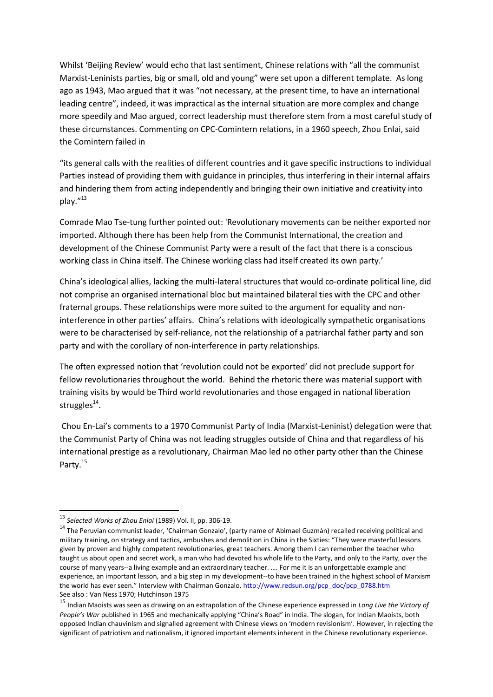Whilst 'Beijing Review' would echo that last sentiment, Chinese relations with "all the communist Marxist-Leninists parties, big or small, old and young" were set upon a different template. As long ago as 1943, Mao argued that it was "not necessary, at the present time, to have an international leading centre", indeed, it was impractical as the internal situation are more complex and change more speedily and Mao argued, correct leadership must therefore stem from a most careful study of these circumstances. Commenting on CPC-Comintern relations, in a 1960 speech, Zhou Enlai, said the Comintern failed in

"its general calls with the realities of different countries and it gave specific instructions to individual Parties instead of providing them with guidance in principles, thus interfering in their internal affairs and hindering them from acting independently and bringing their own initiative and creativity into play."<sup>13</sup>

Comrade Mao Tse-tung further pointed out: 'Revolutionary movements can be neither exported nor imported. Although there has been help from the Communist International, the creation and development of the Chinese Communist Party were a result of the fact that there is a conscious working class in China itself. The Chinese working class had itself created its own party.'

China's ideological allies, lacking the multi-lateral structures that would co-ordinate political line, did not comprise an organised international bloc but maintained bilateral ties with the CPC and other fraternal groups. These relationships were more suited to the argument for equality and noninterference in other parties' affairs. China's relations with ideologically sympathetic organisations were to be characterised by self-reliance, not the relationship of a patriarchal father party and son party and with the corollary of non-interference in party relationships.

The often expressed notion that 'revolution could not be exported' did not preclude support for fellow revolutionaries throughout the world. Behind the rhetoric there was material support with training visits by would be Third world revolutionaries and those engaged in national liberation struggles<sup>14</sup>.

Chou En-Lai's comments to a 1970 Communist Party of India (Marxist-Leninist) delegation were that the Communist Party of China was not leading struggles outside of China and that regardless of his international prestige as a revolutionary, Chairman Mao led no other party other than the Chinese Party.<sup>15</sup>

<sup>13</sup> *Selected Works of Zhou Enlai* (1989) Vol. II, pp. 306-19.

<sup>&</sup>lt;sup>14</sup> The Peruvian communist leader, 'Chairman Gonzalo', (party name of Abimael Guzmán) recalled receiving political and military training, on strategy and tactics, ambushes and demolition in China in the Sixties: "They were masterful lessons given by proven and highly competent revolutionaries, great teachers. Among them I can remember the teacher who taught us about open and secret work, a man who had devoted his whole life to the Party, and only to the Party, over the course of many years--a living example and an extraordinary teacher. …. For me it is an unforgettable example and experience, an important lesson, and a big step in my development--to have been trained in the highest school of Marxism the world has ever seen." Interview with Chairman Gonzalo. [http://www.redsun.org/pcp\\_doc/pcp\\_0788.htm](http://www.redsun.org/pcp_doc/pcp_0788.htm) See also : Van Ness 1970; Hutchinson 1975

<sup>15</sup> Indian Maoists was seen as drawing on an extrapolation of the Chinese experience expressed in *Long Live the Victory of People's War* published in 1965 and mechanically applying "China's Road" in India. The slogan, for Indian Maoists, both opposed Indian chauvinism and signalled agreement with Chinese views on 'modern revisionism'. However, in rejecting the significant of patriotism and nationalism, it ignored important elements inherent in the Chinese revolutionary experience.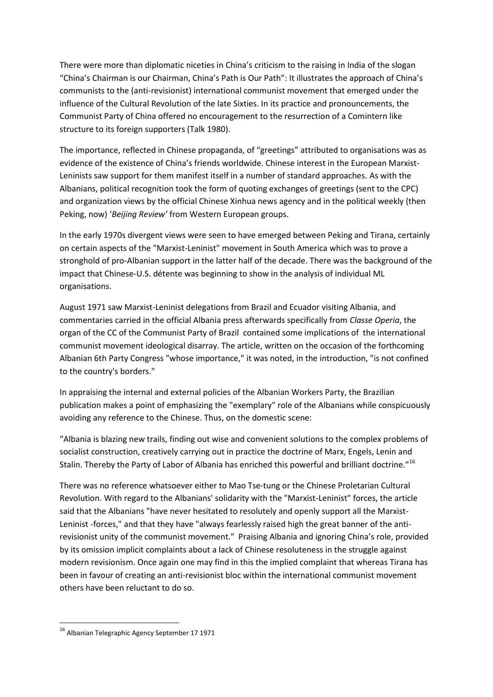There were more than diplomatic niceties in China's criticism to the raising in India of the slogan "China's Chairman is our Chairman, China's Path is Our Path": It illustrates the approach of China's communists to the (anti-revisionist) international communist movement that emerged under the influence of the Cultural Revolution of the late Sixties. In its practice and pronouncements, the Communist Party of China offered no encouragement to the resurrection of a Comintern like structure to its foreign supporters (Talk 1980).

The importance, reflected in Chinese propaganda, of "greetings" attributed to organisations was as evidence of the existence of China's friends worldwide. Chinese interest in the European Marxist-Leninists saw support for them manifest itself in a number of standard approaches. As with the Albanians, political recognition took the form of quoting exchanges of greetings (sent to the CPC) and organization views by the official Chinese Xinhua news agency and in the political weekly (then Peking, now) '*Beijing Review'* from Western European groups.

In the early 1970s divergent views were seen to have emerged between Peking and Tirana, certainly on certain aspects of the "Marxist-Leninist" movement in South America which was to prove a stronghold of pro-Albanian support in the latter half of the decade. There was the background of the impact that Chinese-U.S. détente was beginning to show in the analysis of individual ML organisations.

August 1971 saw Marxist-Leninist delegations from Brazil and Ecuador visiting Albania, and commentaries carried in the official Albania press afterwards specifically from *Classe Operia*, the organ of the CC of the Communist Party of Brazil contained some implications of the international communist movement ideological disarray. The article, written on the occasion of the forthcoming Albanian 6th Party Congress "whose importance," it was noted, in the introduction, "is not confined to the country's borders."

In appraising the internal and external policies of the Albanian Workers Party, the Brazilian publication makes a point of emphasizing the "exemplary" role of the Albanians while conspicuously avoiding any reference to the Chinese. Thus, on the domestic scene:

"Albania is blazing new trails, finding out wise and convenient solutions to the complex problems of socialist construction, creatively carrying out in practice the doctrine of Marx, Engels, Lenin and Stalin. Thereby the Party of Labor of Albania has enriched this powerful and brilliant doctrine."<sup>16</sup>

There was no reference whatsoever either to Mao Tse-tung or the Chinese Proletarian Cultural Revolution. With regard to the Albanians' solidarity with the "Marxist-Leninist" forces, the article said that the Albanians "have never hesitated to resolutely and openly support all the Marxist-Leninist -forces," and that they have "always fearlessly raised high the great banner of the antirevisionist unity of the communist movement." Praising Albania and ignoring China's role, provided by its omission implicit complaints about a lack of Chinese resoluteness in the struggle against modern revisionism. Once again one may find in this the implied complaint that whereas Tirana has been in favour of creating an anti-revisionist bloc within the international communist movement others have been reluctant to do so.

<sup>16</sup> Albanian Telegraphic Agency September 17 1971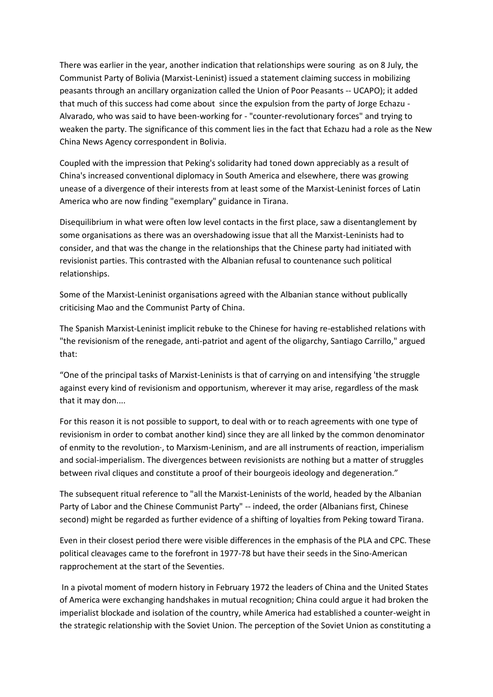There was earlier in the year, another indication that relationships were souring as on 8 July, the Communist Party of Bolivia (Marxist-Leninist) issued a statement claiming success in mobilizing peasants through an ancillary organization called the Union of Poor Peasants -- UCAPO); it added that much of this success had come about since the expulsion from the party of Jorge Echazu - Alvarado, who was said to have been-working for - "counter-revolutionary forces" and trying to weaken the party. The significance of this comment lies in the fact that Echazu had a role as the New China News Agency correspondent in Bolivia.

Coupled with the impression that Peking's solidarity had toned down appreciably as a result of China's increased conventional diplomacy in South America and elsewhere, there was growing unease of a divergence of their interests from at least some of the Marxist-Leninist forces of Latin America who are now finding "exemplary" guidance in Tirana.

Disequilibrium in what were often low level contacts in the first place, saw a disentanglement by some organisations as there was an overshadowing issue that all the Marxist-Leninists had to consider, and that was the change in the relationships that the Chinese party had initiated with revisionist parties. This contrasted with the Albanian refusal to countenance such political relationships.

Some of the Marxist-Leninist organisations agreed with the Albanian stance without publically criticising Mao and the Communist Party of China.

The Spanish Marxist-Leninist implicit rebuke to the Chinese for having re-established relations with "the revisionism of the renegade, anti-patriot and agent of the oligarchy, Santiago Carrillo," argued that:

"One of the principal tasks of Marxist-Leninists is that of carrying on and intensifying 'the struggle against every kind of revisionism and opportunism, wherever it may arise, regardless of the mask that it may don....

For this reason it is not possible to support, to deal with or to reach agreements with one type of revisionism in order to combat another kind) since they are all linked by the common denominator of enmity to the revolution·, to Marxism-Leninism, and are all instruments of reaction, imperialism and social-imperialism. The divergences between revisionists are nothing but a matter of struggles between rival cliques and constitute a proof of their bourgeois ideology and degeneration."

The subsequent ritual reference to "all the Marxist-Leninists of the world, headed by the Albanian Party of Labor and the Chinese Communist Party" -- indeed, the order (Albanians first, Chinese second) might be regarded as further evidence of a shifting of loyalties from Peking toward Tirana.

Even in their closest period there were visible differences in the emphasis of the PLA and CPC. These political cleavages came to the forefront in 1977-78 but have their seeds in the Sino-American rapprochement at the start of the Seventies.

In a pivotal moment of modern history in February 1972 the leaders of China and the United States of America were exchanging handshakes in mutual recognition; China could argue it had broken the imperialist blockade and isolation of the country, while America had established a counter-weight in the strategic relationship with the Soviet Union. The perception of the Soviet Union as constituting a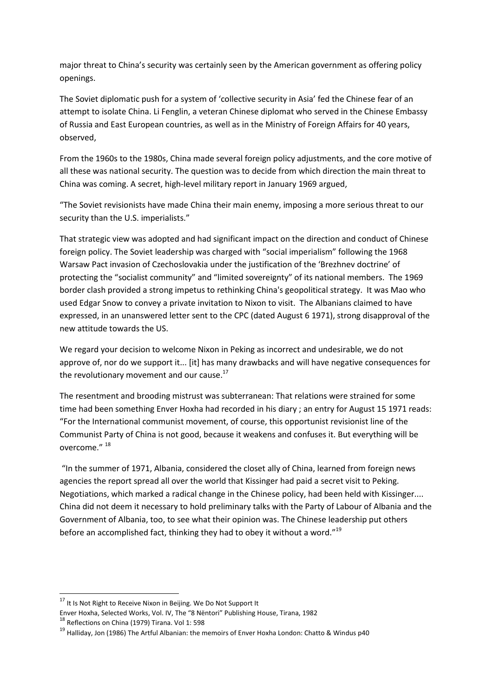major threat to China's security was certainly seen by the American government as offering policy openings.

The Soviet diplomatic push for a system of 'collective security in Asia' fed the Chinese fear of an attempt to isolate China. Li Fenglin, a veteran Chinese diplomat who served in the Chinese Embassy of Russia and East European countries, as well as in the Ministry of Foreign Affairs for 40 years, observed,

From the 1960s to the 1980s, China made several foreign policy adjustments, and the core motive of all these was national security. The question was to decide from which direction the main threat to China was coming. A secret, high-level military report in January 1969 argued,

"The Soviet revisionists have made China their main enemy, imposing a more serious threat to our security than the U.S. imperialists."

That strategic view was adopted and had significant impact on the direction and conduct of Chinese foreign policy. The Soviet leadership was charged with "social imperialism" following the 1968 Warsaw Pact invasion of Czechoslovakia under the justification of the 'Brezhnev doctrine' of protecting the "socialist community" and "limited sovereignty" of its national members. The 1969 border clash provided a strong impetus to rethinking China's geopolitical strategy. It was Mao who used Edgar Snow to convey a private invitation to Nixon to visit. The Albanians claimed to have expressed, in an unanswered letter sent to the CPC (dated August 6 1971), strong disapproval of the new attitude towards the US.

We regard your decision to welcome Nixon in Peking as incorrect and undesirable, we do not approve of, nor do we support it... [it] has many drawbacks and will have negative consequences for the revolutionary movement and our cause. $^{17}$ 

The resentment and brooding mistrust was subterranean: That relations were strained for some time had been something Enver Hoxha had recorded in his diary ; an entry for August 15 1971 reads: "For the International communist movement, of course, this opportunist revisionist line of the Communist Party of China is not good, because it weakens and confuses it. But everything will be overcome." <sup>18</sup>

"In the summer of 1971, Albania, considered the closet ally of China, learned from foreign news agencies the report spread all over the world that Kissinger had paid a secret visit to Peking. Negotiations, which marked a radical change in the Chinese policy, had been held with Kissinger.... China did not deem it necessary to hold preliminary talks with the Party of Labour of Albania and the Government of Albania, too, to see what their opinion was. The Chinese leadership put others before an accomplished fact, thinking they had to obey it without a word."<sup>19</sup>

<sup>&</sup>lt;sup>17</sup> It Is Not Right to Receive Nixon in Beijing. We Do Not Support It

[Enver Hoxha,](http://www.soorma.com/soviet-revisionism-the-most-complete-theory-of-modern-revisionism.html) Selected Works, Vol. IV, The "8 Nëntori" Publishing House, Tirana, 1982

<sup>18</sup> Reflections on China (1979) Tirana. Vol 1: 598

<sup>19</sup> Halliday, Jon (1986) The Artful Albanian: the memoirs of Enver Hoxha London: Chatto & Windus p40